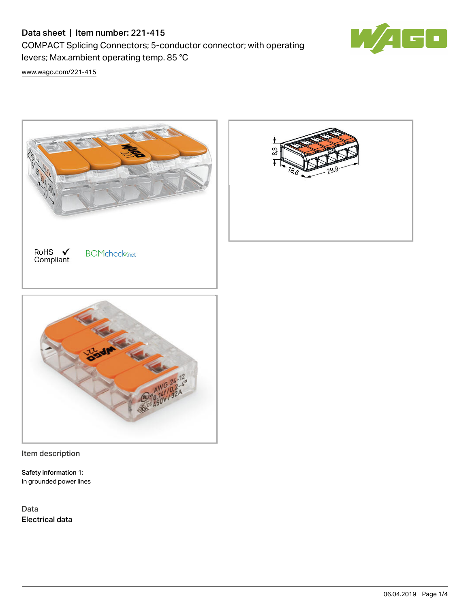# Data sheet | Item number: 221-415

COMPACT Splicing Connectors; 5-conductor connector; with operating levers; Max.ambient operating temp. 85 °C



[www.wago.com/221-415](http://www.wago.com/221-415)



Item description

Safety information 1: In grounded power lines

Data Electrical data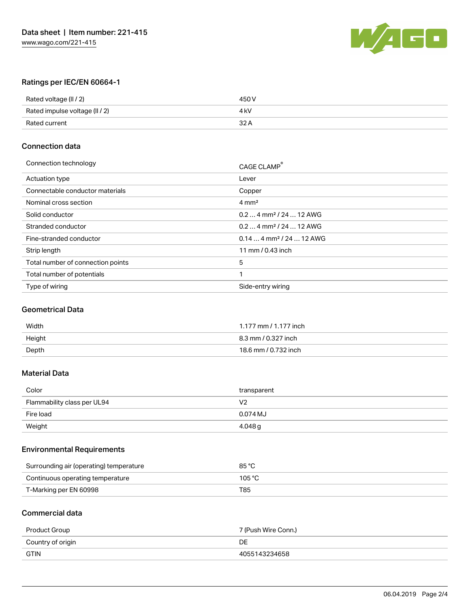

# Ratings per IEC/EN 60664-1

| Rated voltage (II / 2)         | 450 V |
|--------------------------------|-------|
| Rated impulse voltage (II / 2) | 4 kV  |
| Rated current                  | 32 A  |

### Connection data

| CAGE CLAMP <sup>®</sup>              |
|--------------------------------------|
| Lever                                |
| Copper                               |
| $4 \text{ mm}^2$                     |
| $0.24$ mm <sup>2</sup> / 24  12 AWG  |
| $0.24$ mm <sup>2</sup> / 24  12 AWG  |
| $0.144$ mm <sup>2</sup> / 24  12 AWG |
| 11 mm / 0.43 inch                    |
| 5                                    |
| 1                                    |
| Side-entry wiring                    |
|                                      |

## Geometrical Data

| Width  | 1.177 mm / 1.177 inch |
|--------|-----------------------|
| Height | 8.3 mm / 0.327 inch   |
| Depth  | 18.6 mm / 0.732 inch  |

## Material Data

| Color                       | transparent    |
|-----------------------------|----------------|
| Flammability class per UL94 | V <sub>2</sub> |
| Fire load                   | 0.074 MJ       |
| Weight                      | 4.048 g        |

### Environmental Requirements

| Surrounding air (operating) temperature | 85 °C  |
|-----------------------------------------|--------|
| Continuous operating temperature        | 105 °C |
| T-Marking per EN 60998                  | T85    |

#### Commercial data

| Product Group     | 7 (Push Wire Conn.) |
|-------------------|---------------------|
| Country of origin | DE                  |
| <b>GTIN</b>       | 4055143234658       |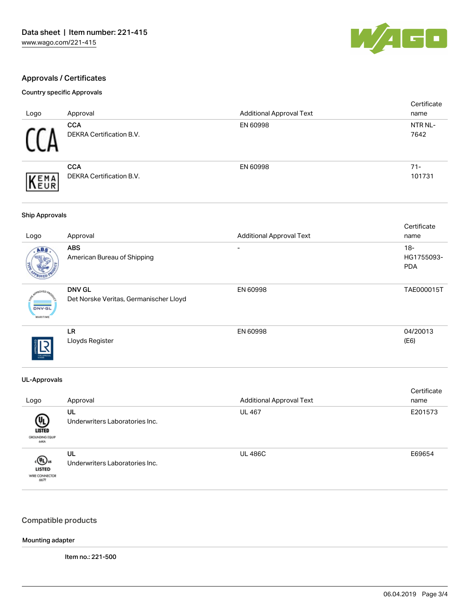

### Approvals / Certificates

## Country specific Approvals

| Logo                | Approval                                      | <b>Additional Approval Text</b> | Certificate<br>name |
|---------------------|-----------------------------------------------|---------------------------------|---------------------|
|                     | <b>CCA</b><br>DEKRA Certification B.V.        | EN 60998                        | NTR NL-<br>7642     |
| EMA<br><b>INEUR</b> | <b>CCA</b><br><b>DEKRA Certification B.V.</b> | EN 60998                        | $71 -$<br>101731    |

### Ship Approvals

| Logo                                   | Approval                                                | <b>Additional Approval Text</b> | Certificate<br>name               |
|----------------------------------------|---------------------------------------------------------|---------------------------------|-----------------------------------|
| ABS.                                   | <b>ABS</b><br>American Bureau of Shipping               | -                               | $18-$<br>HG1755093-<br><b>PDA</b> |
| <b>DNV-GL</b><br><b>MARITIME</b>       | <b>DNV GL</b><br>Det Norske Veritas, Germanischer Lloyd | EN 60998                        | TAE000015T                        |
| <b>TYPE APPROVAL</b><br><b>STARTED</b> | LR<br>Lloyds Register                                   | EN 60998                        | 04/20013<br>(E6)                  |

### UL-Approvals

|                                                      |                                      |                                 | Certificate |
|------------------------------------------------------|--------------------------------------|---------------------------------|-------------|
| Logo                                                 | Approval                             | <b>Additional Approval Text</b> | name        |
| ⋓<br><b>LISTED</b><br>GROUNDING EQUIP<br><b>GEKA</b> | UL<br>Underwriters Laboratories Inc. | <b>UL 467</b>                   | E201573     |
| «®»<br><b>LISTED</b><br>WIRE CONNECTOR<br>667F       | UL<br>Underwriters Laboratories Inc. | <b>UL 486C</b>                  | E69654      |

### Compatible products

### Mounting adapter

Item no.: 221-500